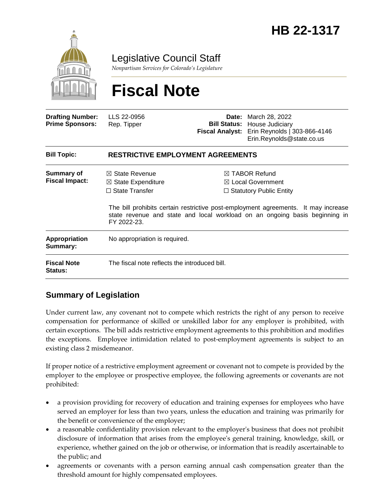

Legislative Council Staff

*Nonpartisan Services for Colorado's Legislature*

# **Fiscal Note**

| <b>Drafting Number:</b><br><b>Prime Sponsors:</b> | LLS 22-0956<br>Rep. Tipper                                                                         | Date:<br><b>Fiscal Analyst:</b> | March 28, 2022<br><b>Bill Status: House Judiciary</b><br>Erin Reynolds   303-866-4146<br>Erin.Reynolds@state.co.us                                                                                                                                              |
|---------------------------------------------------|----------------------------------------------------------------------------------------------------|---------------------------------|-----------------------------------------------------------------------------------------------------------------------------------------------------------------------------------------------------------------------------------------------------------------|
| <b>Bill Topic:</b>                                | <b>RESTRICTIVE EMPLOYMENT AGREEMENTS</b>                                                           |                                 |                                                                                                                                                                                                                                                                 |
| Summary of<br><b>Fiscal Impact:</b>               | $\boxtimes$ State Revenue<br>$\boxtimes$ State Expenditure<br>$\Box$ State Transfer<br>FY 2022-23. |                                 | $\boxtimes$ TABOR Refund<br>$\boxtimes$ Local Government<br>$\Box$ Statutory Public Entity<br>The bill prohibits certain restrictive post-employment agreements. It may increase<br>state revenue and state and local workload on an ongoing basis beginning in |
| <b>Appropriation</b><br>Summary:                  | No appropriation is required.                                                                      |                                 |                                                                                                                                                                                                                                                                 |
| <b>Fiscal Note</b><br><b>Status:</b>              | The fiscal note reflects the introduced bill.                                                      |                                 |                                                                                                                                                                                                                                                                 |

# **Summary of Legislation**

Under current law, any covenant not to compete which restricts the right of any person to receive compensation for performance of skilled or unskilled labor for any employer is prohibited, with certain exceptions. The bill adds restrictive employment agreements to this prohibition and modifies the exceptions. Employee intimidation related to post-employment agreements is subject to an existing class 2 misdemeanor.

If proper notice of a restrictive employment agreement or covenant not to compete is provided by the employer to the employee or prospective employee, the following agreements or covenants are not prohibited:

- a provision providing for recovery of education and training expenses for employees who have served an employer for less than two years, unless the education and training was primarily for the benefit or convenience of the employer;
- a reasonable confidentiality provision relevant to the employer's business that does not prohibit disclosure of information that arises from the employee's general training, knowledge, skill, or experience, whether gained on the job or otherwise, or information that is readily ascertainable to the public; and
- agreements or covenants with a person earning annual cash compensation greater than the threshold amount for highly compensated employees.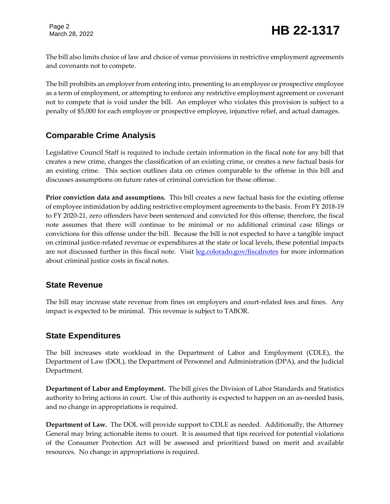Page 2

The bill also limits choice of law and choice of venue provisions in restrictive employment agreements and covenants not to compete.

The bill prohibits an employer from entering into, presenting to an employee or prospective employee as a term of employment, or attempting to enforce any restrictive employment agreement or covenant not to compete that is void under the bill. An employer who violates this provision is subject to a penalty of \$5,000 for each employee or prospective employee, injunctive relief, and actual damages.

# **Comparable Crime Analysis**

Legislative Council Staff is required to include certain information in the fiscal note for any bill that creates a new crime, changes the classification of an existing crime, or creates a new factual basis for an existing crime. This section outlines data on crimes comparable to the offense in this bill and discusses assumptions on future rates of criminal conviction for those offense.

**Prior conviction data and assumptions.** This bill creates a new factual basis for the existing offense of employee intimidation by adding restrictive employment agreements to the basis. From FY 2018-19 to FY 2020-21, zero offenders have been sentenced and convicted for this offense; therefore, the fiscal note assumes that there will continue to be minimal or no additional criminal case filings or convictions for this offense under the bill. Because the bill is not expected to have a tangible impact on criminal justice-related revenue or expenditures at the state or local levels, these potential impacts are not discussed further in this fiscal note. Visit [leg.colorado.gov/fiscalnotes](http://leg.colorado.gov/fiscalnotes/) for more information about criminal justice costs in fiscal notes.

## **State Revenue**

The bill may increase state revenue from fines on employers and court-related fees and fines. Any impact is expected to be minimal. This revenue is subject to TABOR.

## **State Expenditures**

The bill increases state workload in the Department of Labor and Employment (CDLE), the Department of Law (DOL), the Department of Personnel and Administration (DPA), and the Judicial Department.

**Department of Labor and Employment.** The bill gives the Division of Labor Standards and Statistics authority to bring actions in court. Use of this authority is expected to happen on an as-needed basis, and no change in appropriations is required.

**Department of Law.** The DOL will provide support to CDLE as needed. Additionally, the Attorney General may bring actionable items to court. It is assumed that tips received for potential violations of the Consumer Protection Act will be assessed and prioritized based on merit and available resources. No change in appropriations is required.